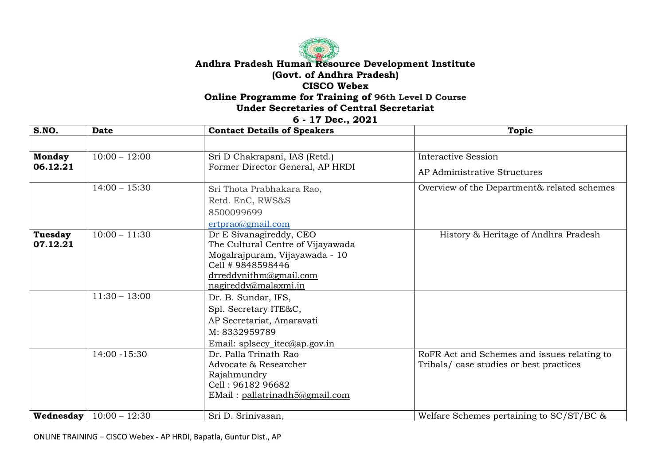## **Andhra Pradesh Human Resource Development Institute (Govt. of Andhra Pradesh) CISCO Webex Online Programme for Training of 96th Level D Course**

**Under Secretaries of Central Secretariat**

**6 - 17 Dec., 2021**

| S.NO.         | <b>Date</b>                        | <b>Contact Details of Speakers</b>                | Topic                                       |
|---------------|------------------------------------|---------------------------------------------------|---------------------------------------------|
|               |                                    |                                                   |                                             |
| <b>Monday</b> | $10:00 - 12:00$                    | Sri D Chakrapani, IAS (Retd.)                     | <b>Interactive Session</b>                  |
| 06.12.21      |                                    | Former Director General, AP HRDI                  | AP Administrative Structures                |
|               | $14:00 - 15:30$                    | Sri Thota Prabhakara Rao,                         | Overview of the Department& related schemes |
|               |                                    | Retd. EnC, RWS&S                                  |                                             |
|               |                                    | 8500099699                                        |                                             |
|               |                                    | ertprao@gmail.com                                 |                                             |
| Tuesday       | $10:00 - 11:30$                    | Dr E Sivanagireddy, CEO                           | History & Heritage of Andhra Pradesh        |
| 07.12.21      |                                    | The Cultural Centre of Vijayawada                 |                                             |
|               |                                    | Mogalrajpuram, Vijayawada - 10                    |                                             |
|               |                                    | Cell #9848598446                                  |                                             |
|               |                                    | drreddynithm@gmail.com<br>$n$ agireddy@malaxmi.in |                                             |
|               | $11:30 - 13:00$                    |                                                   |                                             |
|               |                                    | Dr. B. Sundar, IFS,                               |                                             |
|               |                                    | Spl. Secretary ITE&C,                             |                                             |
|               |                                    | AP Secretariat, Amaravati                         |                                             |
|               |                                    | M: 8332959789                                     |                                             |
|               |                                    | Email: splsecy_itec@ap.gov.in                     |                                             |
|               | 14:00 -15:30                       | Dr. Palla Trinath Rao                             | RoFR Act and Schemes and issues relating to |
|               |                                    | Advocate & Researcher                             | Tribals/ case studies or best practices     |
|               |                                    | Rajahmundry<br>Cell: 96182 96682                  |                                             |
|               |                                    | EMail: pallatrinadh5@gmail.com                    |                                             |
|               |                                    |                                                   |                                             |
|               | <b>Wednesday</b>   $10:00 - 12:30$ | Sri D. Srinivasan,                                | Welfare Schemes pertaining to $SC/ST/BC$ &  |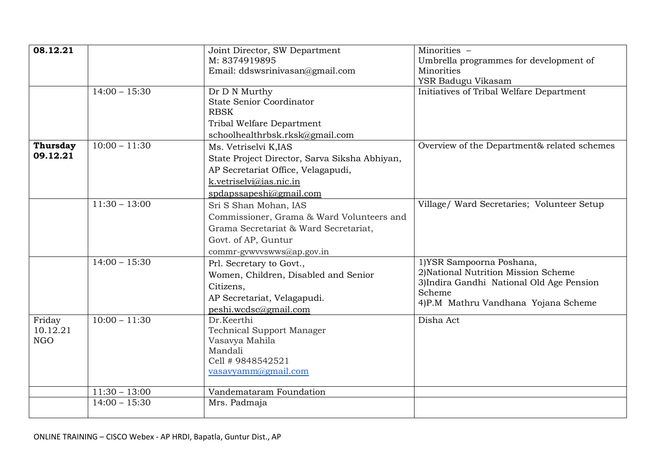| 08.12.21        |                 | Joint Director, SW Department                  | Minorities -                                |
|-----------------|-----------------|------------------------------------------------|---------------------------------------------|
|                 |                 | M: 8374919895                                  | Umbrella programmes for development of      |
|                 |                 | Email: ddswsrinivasan@gmail.com                | Minorities                                  |
|                 |                 |                                                | YSR Badugu Vikasam                          |
|                 | $14:00 - 15:30$ | Dr D N Murthy                                  | Initiatives of Tribal Welfare Department    |
|                 |                 | <b>State Senior Coordinator</b><br><b>RBSK</b> |                                             |
|                 |                 | Tribal Welfare Department                      |                                             |
|                 |                 | schoolhealthrbsk.rksk@gmail.com                |                                             |
| <b>Thursday</b> | $10:00 - 11:30$ | Ms. Vetriselvi K,IAS                           | Overview of the Department& related schemes |
| 09.12.21        |                 | State Project Director, Sarva Siksha Abhiyan,  |                                             |
|                 |                 | AP Secretariat Office, Velagapudi,             |                                             |
|                 |                 | k.vetriselvi@ias.nic.in                        |                                             |
|                 |                 | spdapssapeshi@gmail.com                        |                                             |
|                 | $11:30 - 13:00$ | Sri S Shan Mohan, IAS                          | Village/ Ward Secretaries; Volunteer Setup  |
|                 |                 | Commissioner, Grama & Ward Volunteers and      |                                             |
|                 |                 | Grama Secretariat & Ward Secretariat,          |                                             |
|                 |                 | Govt. of AP, Guntur                            |                                             |
|                 |                 | commr-gywyyswws@ap.gov.in                      |                                             |
|                 | $14:00 - 15:30$ | Prl. Secretary to Govt.,                       | 1) YSR Sampoorna Poshana,                   |
|                 |                 | Women, Children, Disabled and Senior           | 2) National Nutrition Mission Scheme        |
|                 |                 | Citizens,                                      | 3) Indira Gandhi National Old Age Pension   |
|                 |                 | AP Secretariat, Velagapudi.                    | Scheme                                      |
|                 |                 | peshi.wcdsc@gmail.com                          | 4)P.M Mathru Vandhana Yojana Scheme         |
| Friday          | $10:00 - 11:30$ | Dr.Keerthi                                     | Disha Act                                   |
| 10.12.21        |                 | <b>Technical Support Manager</b>               |                                             |
| <b>NGO</b>      |                 | Vasavya Mahila                                 |                                             |
|                 |                 | Mandali                                        |                                             |
|                 |                 | Cell # 9848542521                              |                                             |
|                 |                 | vasavyamm@gmail.com                            |                                             |
|                 | $11:30 - 13:00$ | Vandemataram Foundation                        |                                             |
|                 | $14:00 - 15:30$ | Mrs. Padmaja                                   |                                             |
|                 |                 |                                                |                                             |